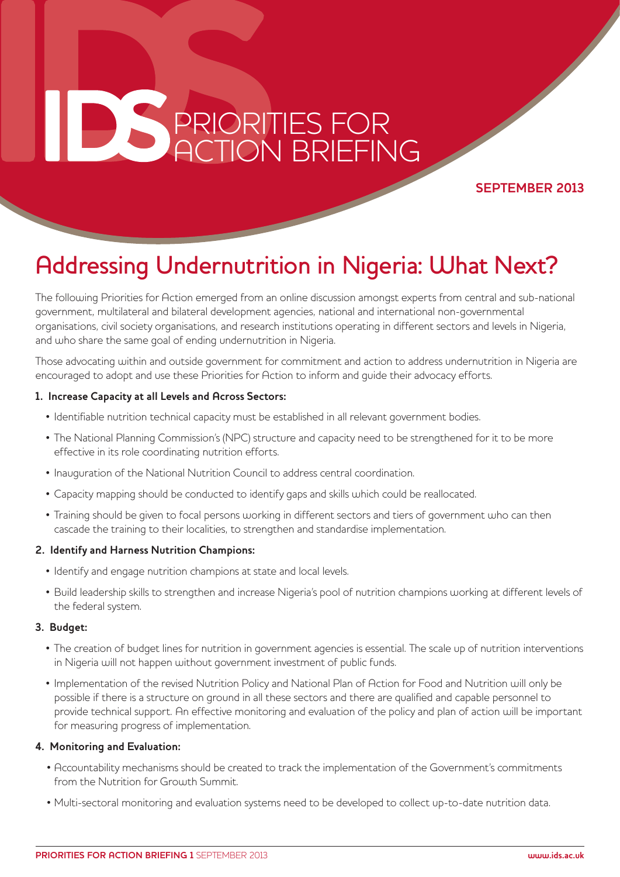# **PRIORITIES FOR**<br>**ACTION BRIEFING** PRIORITIES FOR ACTION BRIEFING

#### **SEPTEMBER 2013**

## Addressing Undernutrition in Nigeria: What Next?

The following Priorities for Action emerged from an online discussion amongst experts from central and sub-national government, multilateral and bilateral development agencies, national and international non-governmental organisations, civil society organisations, and research institutions operating in different sectors and levels in Nigeria, and who share the same goal of ending undernutrition in Nigeria.

Those advocating within and outside government for commitment and action to address undernutrition in Nigeria are encouraged to adopt and use these Priorities for Action to inform and guide their advocacy efforts.

#### **1. Increase Capacity at all Levels and Across Sectors:**

- Identifiable nutrition technical capacity must be established in all relevant government bodies.
- The National Planning Commission's (NPC) structure and capacity need to be strengthened for it to be more effective in its role coordinating nutrition efforts.
- Inauguration of the National Nutrition Council to address central coordination.
- Capacity mapping should be conducted to identify gaps and skills which could be reallocated.
- • Training should be given to focal persons working in different sectors and tiers of government who can then cascade the training to their localities, to strengthen and standardise implementation.

#### **2. Identify and Harness Nutrition Champions:**

- Identify and engage nutrition champions at state and local levels.
- • Build leadership skills to strengthen and increase Nigeria's pool of nutrition champions working at different levels of the federal system.

#### **3. Budget:**

- The creation of budget lines for nutrition in government agencies is essential. The scale up of nutrition interventions in Nigeria will not happen without government investment of public funds.
- • Implementation of the revised Nutrition Policy and National Plan of Action for Food and Nutrition will only be possible if there is a structure on ground in all these sectors and there are qualified and capable personnel to provide technical support. An effective monitoring and evaluation of the policy and plan of action will be important for measuring progress of implementation.

#### **4. Monitoring and Evaluation:**

- • Accountability mechanisms should be created to track the implementation of the Government's commitments from the Nutrition for Growth Summit.
- • Multi-sectoral monitoring and evaluation systems need to be developed to collect up-to-date nutrition data.